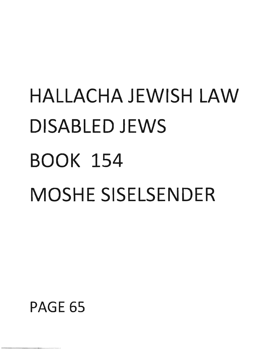# **HALLACHA JEWISH LAW DISABLED JEWS BOOK 154 MOSHE SISELSENDER**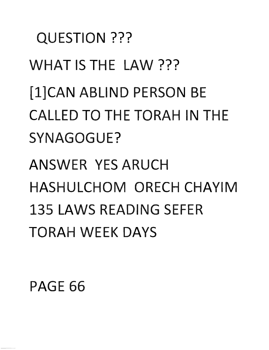QUESTION ??? **WHAT** IS THE LAW??? [1]CAN ABLIND PERSON BE CALLED **TO** THE TORAH IN THE SYNAGOGUE? ANSWER YES ARUCH HASHULCHOM ORECH CHAYIM 135 LAWS READING SEFER TORAH WEEK DAYS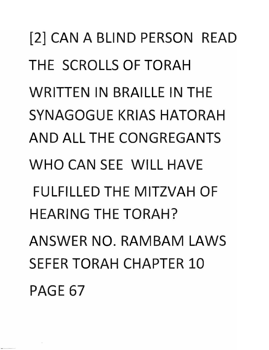[2] CAN A BLIND PERSON READ THE SCROLLS OF TORAH WRITTEN IN BRAILLE IN THE SYNAGOGUE KRIAS HATORAH AND ALL THE CONGREGANTS WHO CAN SEE WILL HAVE FULFILLED THE MITZVAH OF HEARING THE TORAH? ANSWER NO. RAMBAM LAWS SEFER TORAH CHAPTER 10 PAGE 67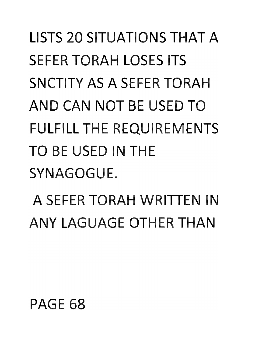# **LISTS 20 SITUATIONS THAT A** SEFER TORAH LOSES ITS SNCTITY AS A SEFER TORAH **AND CAN NOT** BE USED **TO**  FULFILL THE REQUIREMENTS **TO** BE USED IN THE SYNAGOGUE.

A SEFER TORAH WRITTEN IN ANY LAGUAGE OTHER THAN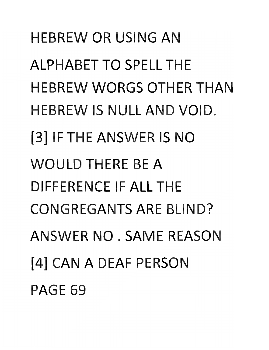**HEBREW OR USING AN ALPHABET TO SPELL THE HEBREW WORGS OTHER THAN** HEBREW IS NULL **AND** VOID. [3] IF **TH** E ANSWER IS **NO**  WOULD THERE BE A DIFFERENCE IF ALL THE CONGREGANTS ARE BLIND? ANSW R **NO** . SAME REASON [4] CAN A DEAF PERSON PAGE 69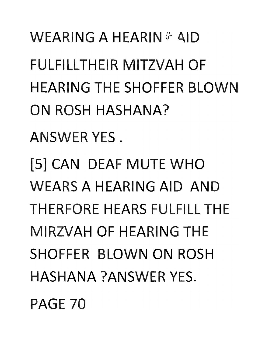**WEARING A HEARIN & AID** FULFILLTHEIR MITZVAH OF HEARING THE SHOFFER BLOWN **ON** ROSH HASHANA?

ANSWER YES.

[5] **CAN** DEAF **MU E WHO**  WEARS A HEARING AID **AND**  THERFORE HEARS FULFILL THE MIRZVAH OF HEARING THE SHOFFER LOWN **ON** ROSH HASHANA ?ANSWER YES.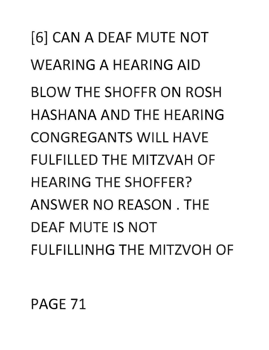[6] CAN A DEAF MUTE NOT WEARING A HEARING AID **BLOW THE SHOFFR ON ROSH HASHANA AND THE HFARING** CONGREGANTS WILL HAVE FULFILLED THE MITZVAH OF HEARING THE SHOFFER? ANSWER **NO** REASON. THE **DEAF MUTE IS NOT** FULFILLINHG THE MITZVOH OF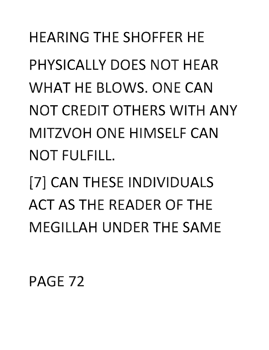HEARING THE SHOFFER HE **PHYSICALLY DOES NOT HEAR WHAT** HE BLOWS. ONE **CAN NOT** CREDIT OTHERS WITH **ANY**  MITZVOH ONE HIMSELF **CAN NOT** FULFILL.

[7] **CAN** THESE INDIVIDUALS **ACT AS THE READER OF THE MEGILLAH UNDER THE SAME**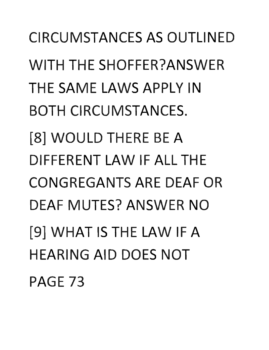**CIRCUMSTANCES AS OUTLINED** WITH THE SHOFFER?ANSWER THE SAME LAWS APPLY IN BOTH CIRCUMSTANCES. [8] WOULD THERE BE A DIFFERENT LAW IF ALL THE CONGREGANTS ARE DEAF OR DEAF MUTES? ANSWER **NO**  [9] WHAT IS THE LAW IF A **HEARING AID DOES NOT PAGE 73**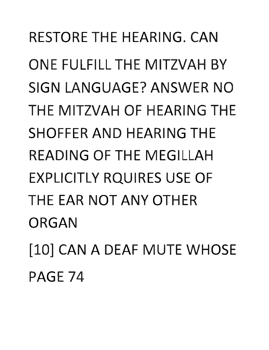RESTORE THE HEARING. CAN **ONE FULFILL THE MITZVAH BY** SIGN LANGUAGE? ANSWER **NO**  THE MITZVAH OF HEARING THE SHOFFER **AND** HEARING **TH**  READING OF THE MEGILLAH EXPLICITLY RQUIRES USE OF **THE EAR NOT ANY OTHER** ORGAN [10] CAN A DEAF MUTE WHOSE PAGE 74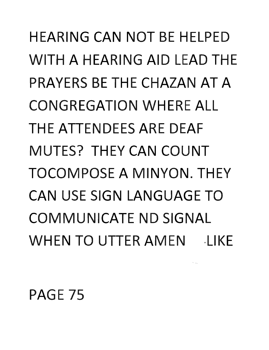HEARING **CAN NOT** BE HELPED WITH A HEARING AID LEAD THE PRAYERS BE THE CHAZAN **AT A**  CONGREGATION WHERE ALL THE ATTENDEES ARE DEAF MUTES? THEY **CAN COUNT**  TOCOMPOSE A MINYON. THEY **CAN** USE SIGN LANGUAGE **TO**  COMMUNICATE **ND** SIGNAL WHEN **TO** UTTER AMEN ·LIKE

si <sub>ma</sub>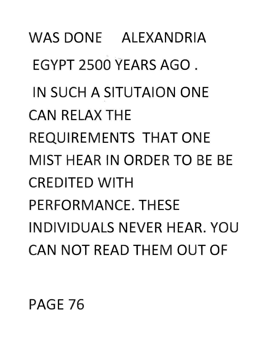#### PAGE 76

WAS DONE ALEXANDRIA EGYPT 2500 YEARS **AGO.**  IN SUCH A SITUTAION ONE **CAN** RELAX THE REQUIREMENTS **THAT** ONE MIST HEAR IN ORDER **TO** BE BE CREDITED WITH PERFORMANCE. THESE INDIVIDUALS NEVER HEAR. **YOU CAN NOT** READ THEM **OUT OF**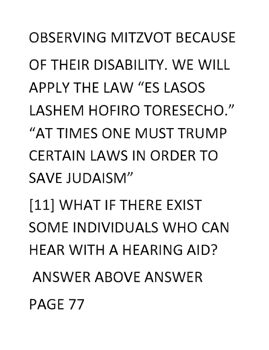**OBSERVING MITZVOT BECAUSE** OF THEIR DISABILITY. WE WILL **APPLY THE LAW "ES LASOS** LASHEM HOFIRO TORESECHO." "AT TIMES ONE MUST TRUMP **CERTAIN LAWS IN ORDER TO** SAVE JUDAISM" [11] WHAT IF THERE EXIST **SOME INDIVIDUALS WHO CAN** HEAR WITH A HEARING AID? ANSWER ABOVE ANSWER PAGE 77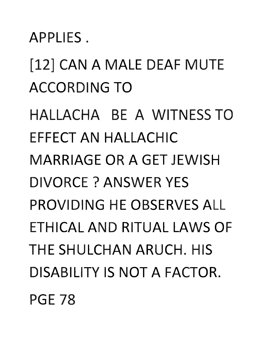APPLIES.

[12] **CAN A** MALE DEAF MUTE ACCORDING **TO** 

HALLACHA BE A WITNESS **TO**  EFFECT **AN** HALLACHIC MARRIAGE OR A GET JEWISH DIVORCE? ANSWER YES PROVIDING HE OBSERVES ALL ETHICAL **AND** RITUAL LAWS OF THE SHULCHAN ARUCH. HIS DISABILITY IS **NOT A** FACTOR. PGE 78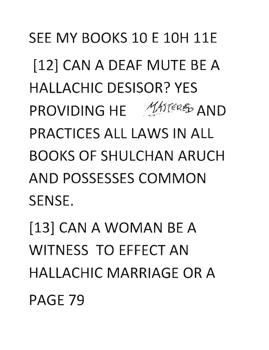**SEE MY BOOKS 10 E 10H 11E** [12] CAN A DEAF MUTE BE A HALLACHIC DESISOR? YES PROVIDING HE MASTERED AND PRACTICES ALL LAWS IN ALL BOOKS OF SHULCHAN ARUCH AND POSSESSES COMMON SENSE.

[13] CAN A WOMAN BE A WITNESS TO EFFECT AN HALLACHIC MARRIAGE OR A PAGE 79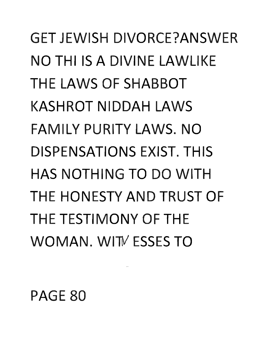**GET JEWISH DIVORCE?ANSWER** NO THI IS A DIVINE LAWLIKE THE LAWS OF SHABBOT KASHROT NIDDAH LAWS FAMILY PURITY LAWS. NO DISPENSATIONS EXIST. THIS HAS NOTHING TO DO WITH THE HONESTY AND TRUST OF THE TESTIMONY OF THE WOMAN. WIT ESSES TO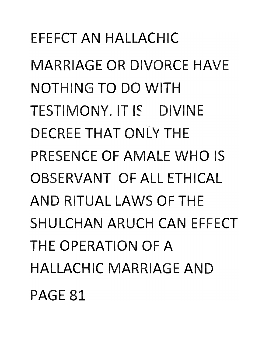E EFCT **AN** HALLACHIC **MARRIAGE OR DIVORCE HAVE** NOTHING **TO DO** WITH TESTIMONY. IT IS DIVINE DECREE **THAT** ONLY THE **PRESENCE OF AMALE WHO IS** OBSERVANT OF ALL ETHICAL **AND** RITUAL LAWS OF THE **SHULCHAN ARUCH CAN EFFECT** THE OPERATION OF A **HALLACHIC MARRIAGE AND PAGE 81**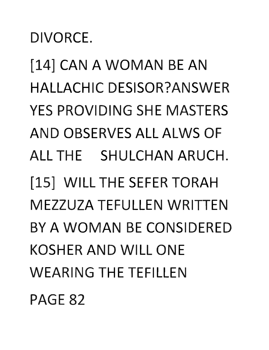[14] **CAN A WOMAN BE AN**  HALLACHIC DESISOR?ANSWER YES PROVIDING SHE MASTERS **AND** OBSERVES ALL ALWS OF ALL THE SHULCHAN ARUCH. [15] WILL THE SEFER TORAH MEZZUZA TEFULLEN WRITTEN BY **A WOMAN** BE CONSIDERED KOSHER **AND** WILL ONE WEARING THE TEFILLEN

**PAGE 82** 

DIVORCE.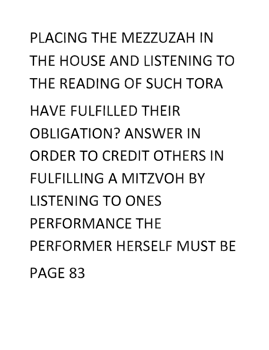PLACING THE MEZZUZAH IN **THE HOUSE AND LISTENING TO** THE READING OF SUCH TORA AVE FULFILLED THEIR OBLIGATION? ANSWER IN ORDER **TO** CREDIT OTHERS IN FULFILLING A MITZVOH BY LISTENING **TO** ONES PERFORMANCE THE PERFORMER HERSELF MUST BE PAGE 83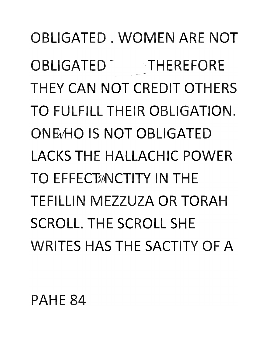OBLIGATED. WOMEN ARE **NOT**  OBLIGATED THEREFORE THEY **CAN NOT** CREDIT OTHERS **TO** FULFILL THEIR OBLIGATION. **ONHvHO IS NOT** OBLIGATED LACKS THE HALLACHIC POWER TO FFFFCT<sub>3</sub>NCTITY IN THE TEFILLIN MEZZUZA OR TORAH **SCROLL. THE SCROLL SHE** WRITES HAS THE SACTITY OF A

PAHE **84**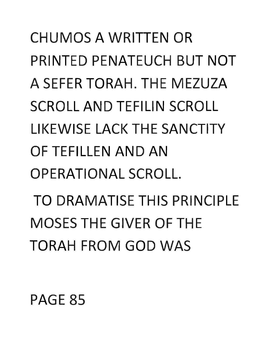CHUMOS A WRITTEN OR PRINTED PENATEUCH BUT **NOT**  A SEFER TORAH. THE MEZUZA **SCROLL AND TEFILIN SCROLL** LIKEWIS LACK **TH** SANCTITY OF TEFILLEN **AND AN**  OPERATIONAL SCROLL. TO DRAMATISE THIS PRINCIPLE **MOSES THE GIVER OF THE** TORAH FROM **GOD** WAS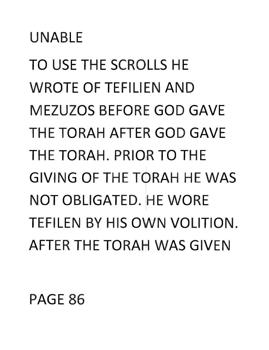## UNABLE

**TO** USE THE SCROLLS HE WROTE OF TEFILIEN **AND**  MEZUZOS BEFORE **GOD** GAVE THE TORAH AFTER **GOD** GAVE THE TORAH. PRIOR TO THE GIVING OF THE TORAH HE WAS **NOT OBLIGATED. HE WORE** TEFILEN BY HIS **OWN** VOLITION. AFTER THE TORAH WAS GIVEN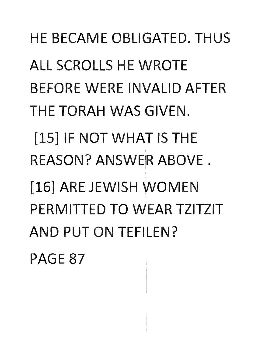HE BECAME OBLIGATED. THUS ALL SCROLLS HE WROTE BEFORE WERE INVALID AFTER THE TORAH WAS GIVEN. [15] IF **NOT WHAT** IS THE REASON? ANSWER ABOVE. [16] ARE JEWISH WOMEN PERMITTED **TO** WEAR TZITZIT **AND PUT ON TEFILEN?** PAGE 87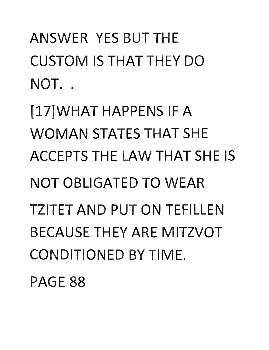ANSWER YES BUT THE CUSTOM IS THAT 'THEY **DO**  NOT..

[17]WHAT HAPPENS IF A **WOMAN** STATES **THAT** SHE ACCEPTS THE LAW **THAT** SHE IS **NOT** OBLIGATED **TO** WEAR **TZITET AND PUT ON TEFILLEN** BECAUSE THEY ARE MITZVOT CONDITIONED BY TIME.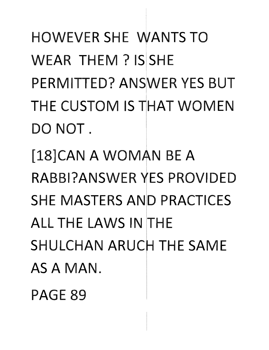**HOWEVER SHE WANTS TO WEAR THEM? IS SHE PERMITTED? ANSWER YES BUT HE CUSTOM IS HAT WOMEN DO NOT.** 

[18]CAN A WOMAN BE A RABBI?ANSWER YES PROVIDED **SHE MASTERS AND PRACTICES** ALL THE LAWS IN THE **SHULCHAN ARUCH THE SAME** AS **A MAN.**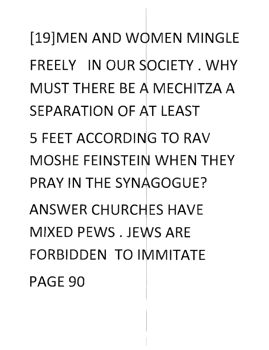[19]MEN AND WOMEN MINGLE FREELY IN OUR SOCIETY. WHY MUST THERE BE A MECHITZA A SEPARATION OF AT LEAST 5 FEET ACCORDING TO RAV **MOSHE FEINSTEIN WHEN THEY** PRAY IN THE SYNAGOGUE? ANSWER CHURCHES HAVE MIXED PEWS, JEWS ARE FORBIDDEN **TO** IMITATE **PAGE 90**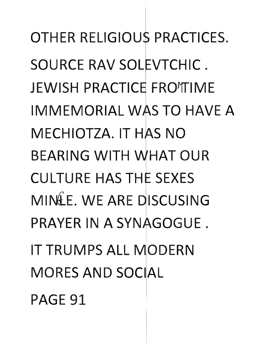OTHER RELIGIOUS PRACTICES. SOURCE RAV SOLEVTCHIC. JEWISH PRACTICE FROM IME IMMEMORIAL **TO** HAVE A MECHIOTZA. IT HAS NO **BEARING WITH WHAT OUR CULTURE HAS THE SEXES** MINAF. WE ARE DISCUSING PRAYER IN A SYNAGOGUE. **IT TRUMPS ALL MODERN MORES AND SOCIAL** PAGE 91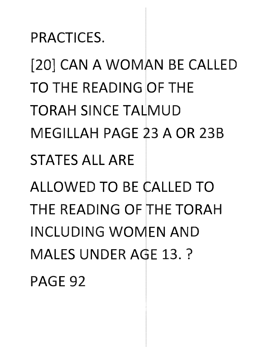PRACTICES.

[20] CAN A WOMAN BE CALLED **TO** THE READING OF THE **TORAH SINCE TALMUD** MEGILLAH PAGE 3 A OR 23B STATES ALL ARE

**ALLOWED TO BE CALLED TO** THE READING OF THE TORAH INCLUDING **WO EN AND**  MALES UNDER AGE 13. ? PAGE 92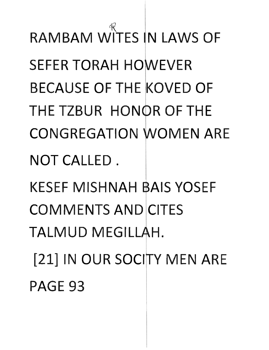NOT CALLED. KESEF MISHNAH BAIS YOSEF COMMENTS AND CITES TALMUD MEGILLAH. i , [21] IN OUR SOCITY MEN ARE PAGE 93

 $\mathbb{X}_{-}$ RAMBAM WITES IN LAWS OF **SEFER TORAH HOWEVER** BECAUSE OF THE KOVED OF THE TZBUR HONOR OF THE CONGREGATION WOMEN ARE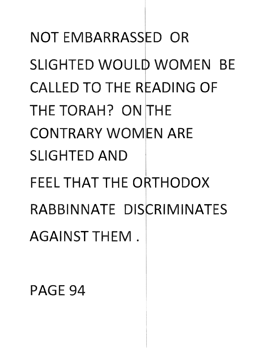NOT EMBARRASSED OR SLIGHTED WOULD WOMEN BE CALLED TO THE READING OF THE TORAH? ON THE CONTRARY WOMEN ARE SLIGHTED AND FEEL THAT THE ORTHODOX RABBINNATE DISCRIMINATES AGAINST THEM.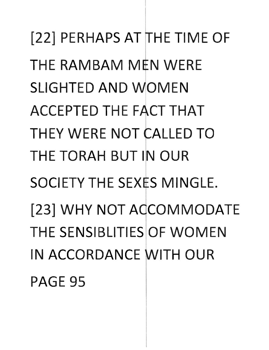[22] PERHAPS AT THE TIME OF THE RAMBAM MEN WERE SLIGHTED AND WOMEN ACCEPTED THE FACT THAT THEY WERE NOT CALLED TO THE TORAH BUT IN OUR SOCIETY THE SEXES MINGLE. [23] WHY NOT ACCOMMODATE THE SENSIBLITIES OF WOMEN IN ACCORDANCE WITH OUR PAGE 95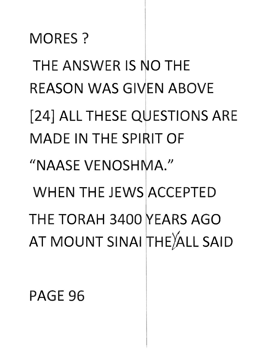MORES? THE ANSWER IS NO THE REASON WAS GIVEN ABOVE [24] ALL THESE QUESTIONS ARE **MADE IN THE SPIRIT OF** "NAASE VENOSHMA." WHEN THE JEWS ACCEPTED THE TORAH 3400 YEARS AGO AT MOUNT SINAI THE ALL SAID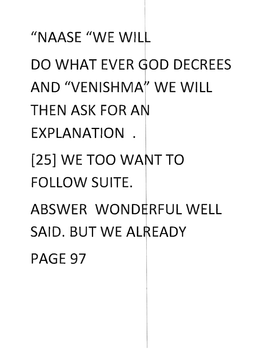"NAASE "WE WILL **DO WHAT** EVER **00** DECREES **AND** "VENISHM WE WILL **THEN** ASK FOR A **EXPLANATION** . **[25] WE TOO WANT TO** FOLLOW SUITE. **ABSWER WONDERFUL WELL SAID. BUT WE ALREADY** PAGE 97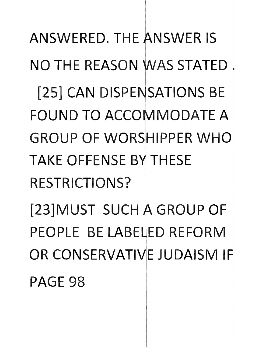### PAGE 98

TAKE OFFENSE BY THESE RESTRICTIONS? [23]MUST SUCH A GROUP OF PEOPLE BE LABELED REFORM OR CONSERVATIVE JUDAISM IF

[25] CAN DISPENSATIONS BE **FOUND TO ACCOMMODATE A** GROUP OF WORS IPPER **WHO** 

**NO THE REASON WAS STATED.** 

ANSWERED. THE ANSWER IS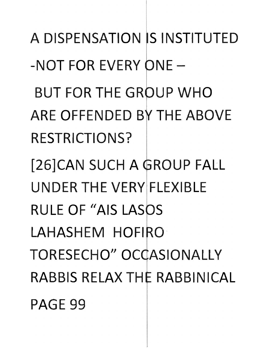A DISPENSATION IS INSTITUTED  $-NOT$  FOR EVERY ONE  $-$ **BUT FOR THE GROUP WHO** ARE OFFENDED BY THE ABOVE RESTRICTIONS? [26]CAN SUCH A GROUP FALL UNDER THE VERY FLEXIBLE RULE OF "AIS LASOS LAHASHEM HOFIRO TORESECHO" OCCASIONALLY RABBIS RELAX THE RABBINICAL PAGE 99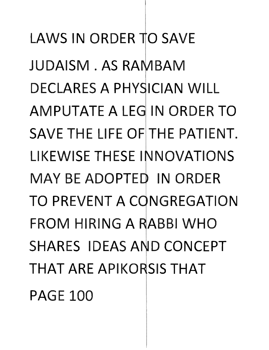LAWS IN ORDER TO SAVE JUDAISM. AS RAMBAM DECLARES A PHYSICIAN WILL AMPUTATE A LEG IN ORDER **TO**  SAVE THE LIFE OF THE PATIENT. **LIKEWISE THESE INNOVATIONS MAY BE ADOPTED IN ORDER** TO PREVENT A CONGREGATION FROM HIRING A RABBI WHO SHARES IDEAS AND CONCEPT **THAT ARE APIKORSIS THAT** PAGE 100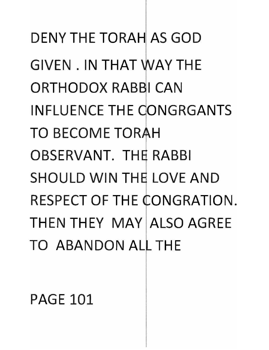DENY THE TORAH AS GOD GIVEN. IN THAT WAY THE ORTHODOX RABBI CAN INFLUENCE THE CONGRGANTS TO BECOME TORAH OBSERVANT. THE RABBI SHOULD WIN THE LOVE AND RESPECT OF THE CONGRATION. THEN THEY MAY ALSO AGREE TO ABANDON ALL THE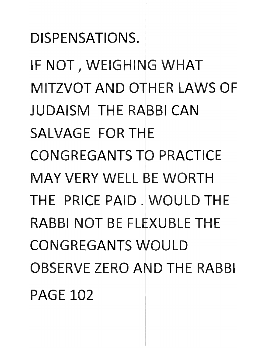**IF NOT, WEIGHING WHAT MITZVOT AND OTHER LAWS OF JUDAISM THE RABBI CAN** SALVAGE FOR **THE CONGREGANTS TO PRACTICE MAY** VERY WELL, **WORTH THE** PRICE PAID. **WOULD THE RABBI NOT BE FLEXUBLE THE CONGREGANTS WOULD** OBSERVE ZERO AND THE RABBI PAGE 102

DISPENSATIONS.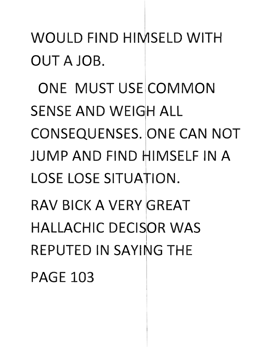#### **WOULD FIND HIMSELD WITH OUT A** JOB.

**ONE MUST** USE **COMMON SENSE AND WEIGH ALL CONSEQUENSES. ONE CAN NOT JUMP AND FIND HIMSELF IN A** LOSE LOSE SITUATION. ! , **RAV BICK A VERY GREAT** ! **HALLACHIC DECISIOR WAS REPUTED IN SAYING THE**  PAGE 103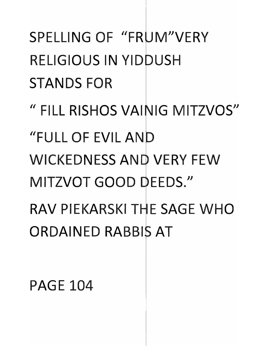## SPELLING OF "FRUM"VERY RELIGIOUS IN YIDDUSH STANDS FOR " FILL RISHOS VAINIG MITZVOS" "FULL OF EVIL AND WICKEDNESS AND VERY FEW MITZVOT GOOD DEEDS." RAV PIEKARSKI THE SAGE WHO **ORDAINED RABBIS AT**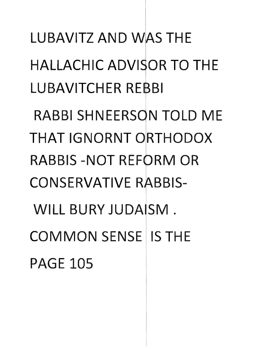**LUBAVITZ AND WAS THE** HALLACHIC ADVISOR TO THE **LUBAVITCHER REBBI** 

RABBI SHNEERSON TOLD ME **THAT IGNORNT ORTHODOX** RABBIS-NOT REFORM OR **CONSERVATIVE RABBIS-**WILL BURY JUDAISM. **COMMON SENSE IS THE**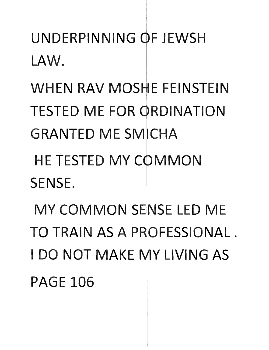UNDERPINNING OF JEWSH LAW.

**WHEN RAV MOSHE FEINSTEIN TESTED ME FOR ORDINATION GRANTED ME SMICHA** 

**HE TESTED MY COMMON** SENSE.

MY COMMON SENSE LED ME TO TRAIN AS A PROFESSIONAL. I DO NOT MAKE MY LIVING AS **PAGE 106**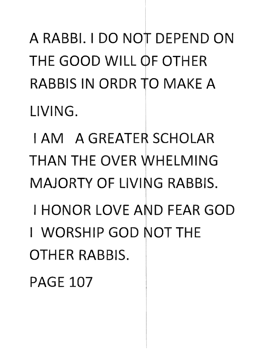A RABBI. I DO NOT DEPEND ON THE GOOD WILL OF OTHER RABBIS IN ORDR TO MAKE A LIVING.

I AM A GREATER SCHOLAR THAN THE OVER WHELMING MAJORTY OF LIVING RABBIS.

- I HONOR LOVE AND FEAR GOD
- I WORSHIP GOD NOT THE OTHER RABBIS.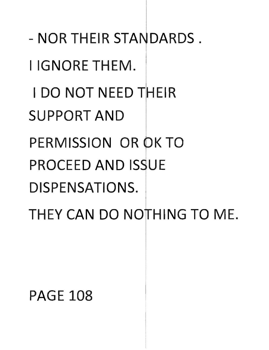- **NOR THEIR STANDARDS.** 

I IGNORE THEM.

**LDO NOT NEED THEIR** 

SUPPORT **AND** 

PERMISSION OR OK TO

**PROCEED AND ISSUE** 

DISPENSATIONS.

THEY CAN DO NOTHING TO ME.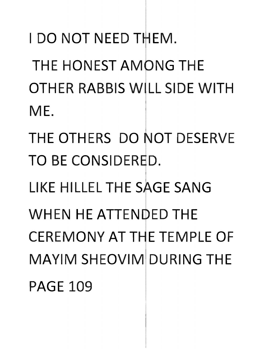**I DO NOT NEED THEM.** THE HONEST **AM NG** THE OTHER RABBIS WILL SIDE WITH ME.

THE OTHERS DO NOT DESERVE TO BE CONSIDERED.

LIKE HILLEL THE SAGE SANG

WHEN HE ATTENDED THE CEREMONY AT THE TEMPLE OF MAYIM SHEOVIM DURING THE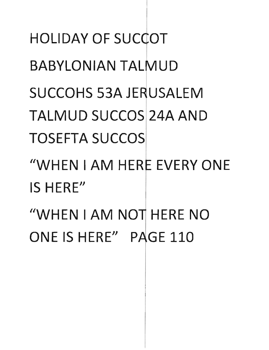**HOLIDAY OF SUCCOT BABYLONIAN TALMUD SUCCOHS 53A JERUSALEM TALMUD SUCCOS 24A AND TOSEFTA SUCCOS** "WHEN I AM HERE EVERY ONE IS HERE" "WHEN I AM NOT HERE NO ONE IS HERE" PAGE 110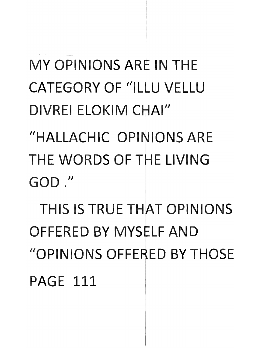### **THIS IS TRUE THAT OPINIONS OFFERED BY MYSELF AND** "OPINIONS OFFE ED **BY** THOSE PAGE 111

**MY OPINIONS ARE IN THE CATEGORY OF "ILLU VELLU** DIVREI ELOKIM CHAI" "HALLACHIC OPINIONS ARE THE WORDS OF THE LIVING **GOD ."**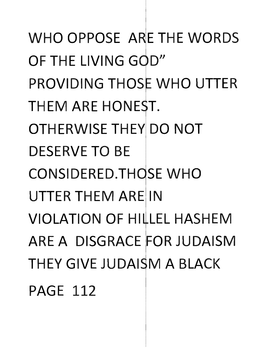WHO OPPOSE ARE THE WORDS OF THE LIVING GOD" **PROVIDING THOSE WHO UTTER** THEM ARE HONEST. **OTHERWISE THEY DO NOT** DESERVE **TO** BE CONSIDERED. THOSE WHO UTTER THEM ARE IN VIOLATION OF HILLEL HASHEM ARE A DISGRACE FOR JUDAISM THEY GIVE JUDAISM A BLACK PAGE 112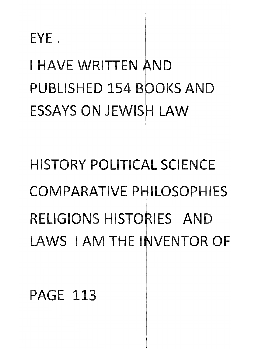EYE.

I HAVE WRITTEN AND PUBLISHED 154 OKS **AND ESSAYS ON JEWISH LAW** 

HISTORY POLITICAL SCIENCE COMPARATIVE PHILOSOPHIES **RELIGIONS HISTORIES AND** LAWS I AM THE INVENTOR OF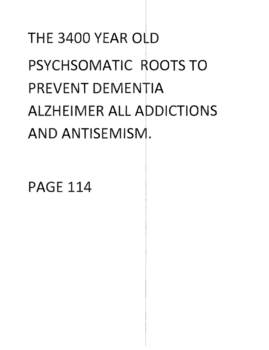## THE 3400 YEAR OLD PSYCHSOMATIC ROOTS TO PREVENT DEMENTIA **ALZHEIMER ALL ADDICTIONS** AND ANTISEMISM.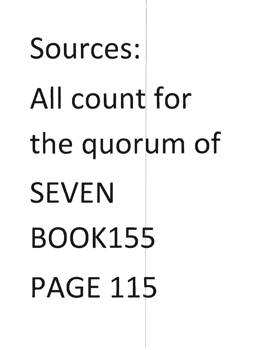# Sources: All count for the quorum of **SEVEN BOOK155 PAGE 115**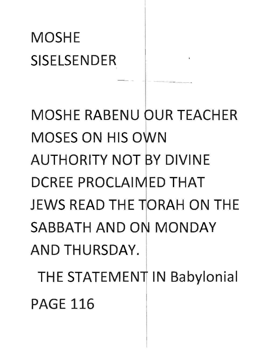#### **MOSHE** SISELSENDER

**MOSHE RABENU OUR TEACHER** MOSES **ON** HIS 0 AUTHORITY **NOT**  DIVINE DCREE PROCLAIMED THAT JEWS READ THE TORAH ON THE SABBATH AND ON MONDAY AND THURSDAY.

THE STATEMENT IN Babylonial PAGE 116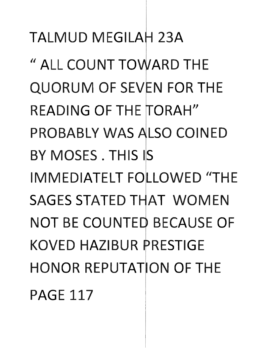TALMUD MEGILAH 23A " ALL COUNT TOWARD THE QUORUM OF SEVEN FOR THE READING OF THE TORAH" PROBABLY WAS ALSO COINED Y MOSES. **TH** IS IS IMMEDIATELT FOLLOWED "THE **SAGES STATED THAT WOMEN NOT BE COUNTED BECAUSE OF** KOVED HAZIBUR PRESTIGE **HONOR REPUTATION OF THE** PAGE 117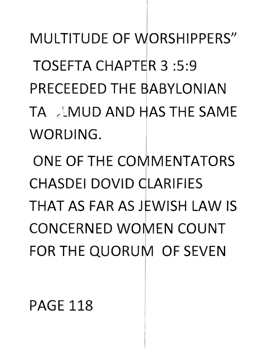MULTITUDE OF WORSHIPPERS" TOSEFTA CHAPTER 3:5:9 PRECEEDED THE BABYLONIAN **TA ANUD AND HAS THE SAME** WORDING. **ONE OF THE COMMENTATORS** CHASDEI DOVID CLARIFIES **THAT AS FAR AS JEWISH LAW IS** CONCERNED WOMEN **COUNT**  FOR THE QUORUM OF SEVEN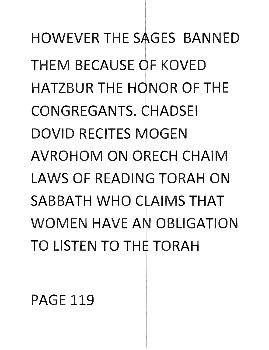**HOWEVER THE SAGES BANNED** THEM BECAUSE OF KOVED HATZBUR THE HONOR OF THE CONGREGANTS. CHADSEI DOVID RECITES MOGEN **AVROHOM ON ORECH CHAIM** LAWS OF READING TORAH ON **SABBATH WHO CLAIMS THAT** WOMEN HAVE AN OBLIGATION **TO** LISTEN **TO TH** TORAH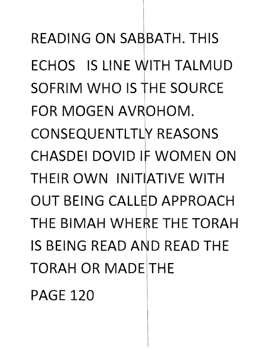READING ON SABBATH. THIS ECHOS IS LINE WITH TALMUD SOFRIM WHO IS THE SOURCE FOR MOGEN AVROHOM. CONSEQUENTLTLY REASONS CHASDEI DOVID IF WOMEN ON THEIR OWN INITIATIVE WITH OUT BEING CALLED APPROACH THE BIMAH WHERE THE TORAH IS BEING READ AND READ THE TORAH OR MADE THE PAGE 120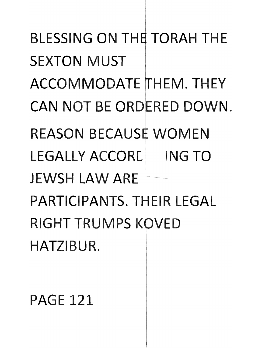**BLESSING ON THE TORAH THE SEXTON MUST ACCO MODATE** HEM. **THEY CAN NOT BE ORDERED DOWN. REASON BECAUSE WOMEN** LEGALLY **ACCOR[ ING TO**  JEWSH **LAW** ARE PARTICIPANTS. THEIR LEGAL **RIGHT TRUMPS KOVED** HATZIBUR.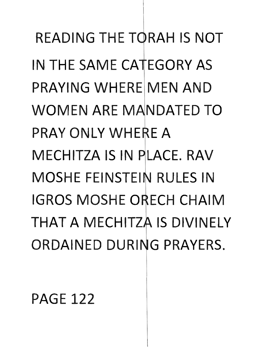READING THE TORAH IS NOT IN THE SAME CATEGORY AS PRAYING WHERE MEN AND WOMEN ARE MANDATED TO PRAY ONLY WHERE A MECHITZA IS IN PLACE, RAV MOSHE FEINSTEIN RULES IN IGROS MOSHE ORECH CHAIM THAT A MECHITZA IS DIVINELY ORDAINED DURING PRAYERS.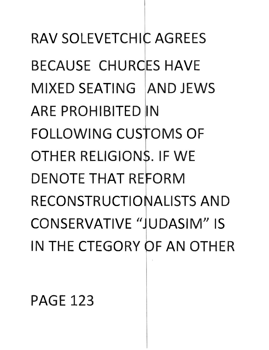RAV SOLEVETCHIC AGREES BECAUSE CHURCES HAVE MIXFD SFATING AND JEWS ARE PROHIBITED **FOLLOWING CUSTOMS OF** OTHER RELIGIONS. IF WE **DENOTE THAT REFORM RECONSTRUCTIONALISTS AND** CONSERVATIVE "JUDASIM" IS IN THE CTEGORY OF AN OTHER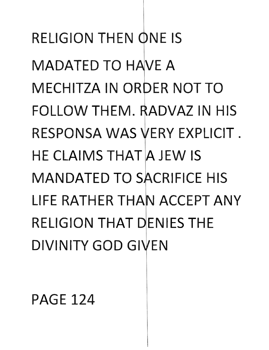RELIGION THEN ONE IS MADATED TO HAVE A MECHITZA IN ORDER NOT TO FOLLOW THEM. RADVAZ IN HIS RESPONSA WAS VERY EXPLICIT. HE CLAIMS THAT A JEW IS **MANDATED TO SACRIFICE HIS** LIFE RATHER THAN ACCEPT ANY RELIGION THAT DENIES THE DIVINITY GOD GIVEN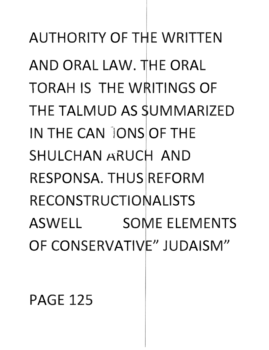AUTHORITY OF THE WRITTEN AND ORAL LAW. HE ORAL TORAH IS THE WRITINGS OF THE TALMUD AS SUMMARIZED IN THE CAN JONS OF THE SHULCHAN ARUCH AND RESPONSA. THUS REFORM RECONSTRUCTIONALISTS ASWELL SOME ELEMENTS OF CONSERVATIVE" JUDAISM"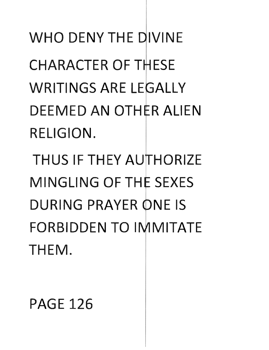WHO DENY THE DIVINE CHARACTER OF THESE WRITINGS ARE LEGALLY **DEEMED AN OTHER ALIEN** RELIGION.

**THUS IF THEY AUTHORIZE MINGLING OF THE SEXES** DURING PRAYER ONE IS **FORBIDDEN TO IMMITATE** THEM.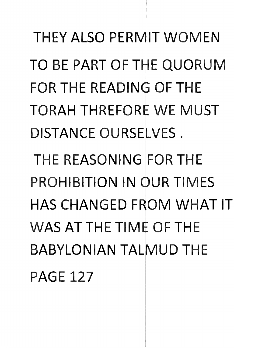THEY ALSO PERMIT WOMEN TO BE PART OF THE QUORUM FOR THE READING OF THE TORAH THREFORE WE MUST DISTANCE OURSELVES. THE REASONING FOR THE PROHIBITION IN OUR TIMES **HAS CHANGED FROM WHAT IT** WAS AT THE TIME OF THE BABYLONIAN TALMUD THE PAGE 127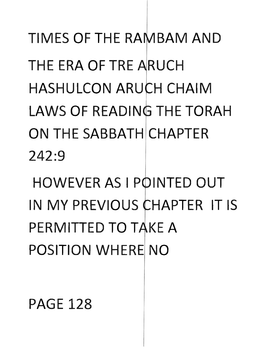**TIMES OF THE RAMBAM AND** THE ERA OF TRE ARUCH HASHULCON ARUCH CHAIM LAWS OF READING THE TORAH **ON** THE SABBATH CHAPTER 242:9

**HOWEVER AS I POINTED OUT** IN MY PREVIOUS CHAPTER IT IS **PERMITTED TO TAKE A** POSITION WHERE **NO**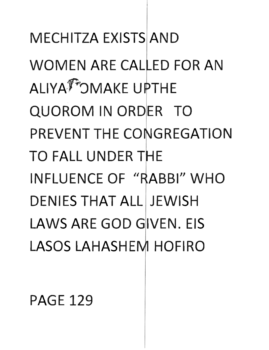**MECHITZA EXISTS AND WOMEN ARE CALLED FOR AN** ALIYATOMAKE UPTHE **QUOROM IN ORDER TO** PREVENT THE CONGREGATION TO FALL UNDER THE INFLUENCE OF "RABBI" WHO **DENIES THAT ALL JEWISH** LAWS ARE GOD GIVEN. EIS LASOS LAHASHEM HOFIRO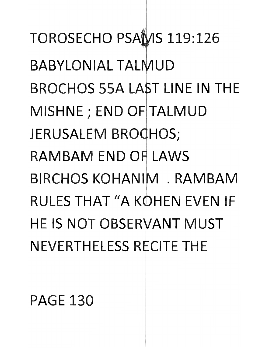**TOROSECHO PSAMS 119:126 BABYLONIAL TALMUD** BROCHOS 55A LAST LINE IN THE MISHNE; END OF TALMUD JERUSALEM BROCHOS; **RAMBAM END OF LAWS** BIRCHOS KOHANIM, RAMBAM **RULES THAT "A KOHEN EVEN IF HE IS NOT OBSERVANT MUST** NEVERTHELESS RECITE THE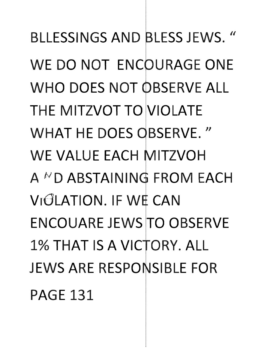**BLLESSINGS AND BLESS JEWS. "** WE DO NOT ENCOURAGE ONE **WHO DOES NOT OBSERVE ALL** THE MITZVOT **TO** VIOLATE WHAT HE DOES OBSERVE." WE VALUE EACH MITZVOH  $A^{\wedge}D$  ABSTAINING FROM EACH **VIGLATION. IF WE CAN** ENCOUARE JEWS **TO** OBSERVE 1% THAT IS A VICTORY, ALL JEWS ARE RESPONSIBLE FOR PAGE 131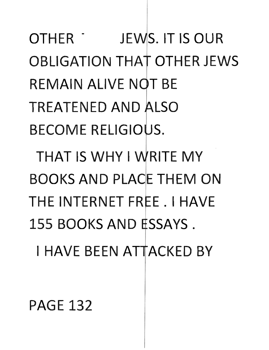OTHER JEWS. IT IS OUR **OBLIGATION THAT OTHER JEWS** REMAIN ALIVE NOT BE TREATENED **AND** LSO BECOME RELIGIOUS.

**THAT IS WHY** I RITE **MY**  BOOKS **AND** PLACE THEM **ON**  THE INTERNET FREE. I HAVE 155 BOOKS AND **ESSAYS**. I HAVE BEEN ATTACKED BY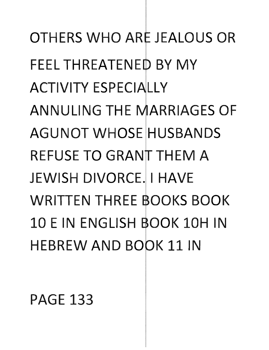**OTHERS WHO ARE JEALOUS OR** FEEL THREATENED BY MY ACTIVITY ESPECIALLY ANNULING THE MARRIAGES OF **AGUNOT WHOSE HUSBANDS REFUSE TO GRANT THEM A** JEWISH DIVORCE. I HAVE WRITTEN THREE BOOKS BOOK 10 E IN ENGLISH BOOK 10H IN **HEBREW AND BOOK 11 IN**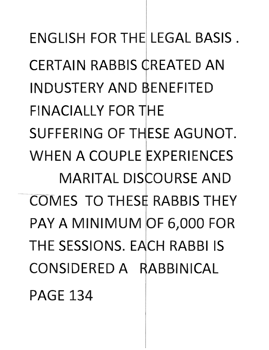**ENGLISH FOR THE LEGAL BASIS. CERTAIN RABBIS CREATED AN** INDUST RY **AND** NEFITED FINACIALLY FOR THE SUFFERING OF THESE AGUNOT. WHEN A COUPLE EXPERIENCES **MARITAL DISCOURSE AND** ~L'O'M ES **TO TH** ES RABBIS **TH** EY PAY A MINIMUM OF 6,000 FOR THE SESSIONS. EACH RABBI IS CONSIDERED A RABBINICAL **PAGE 134**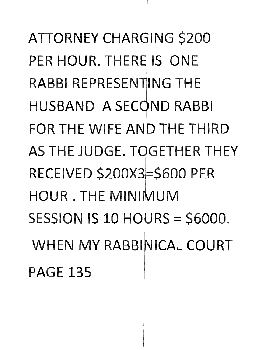ATTORNEY CHARGING \$200 PER HOUR. THERE IS ONE RABBI REPRESENTING THE HUSBAND A SECOND RABBI FOR THE WIFE AND THE THIRD AS THE JUDGE. TOGETHER THEY RECEIVED \$200X3=\$600 PER HOUR. THE MINIMUM SESSION IS 10 HOURS =  $$6000$ . WHEN MY RABBINICAL COURT PAGE 135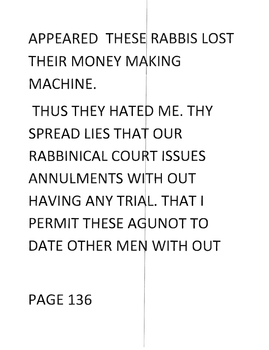APPEARED **TH** ESE RABBIS LOST THEIR MONEY MAKING MACHINE.

**THUS THEY HATED ME. THY SPREAD LIES THAT OUR RABBINICAL COURT ISSUES ANNULMENTS WITH OUT HAVING ANY TRIAL. THAT I** PERMIT THESE AGUNOT TO DATE OTHER MEN WITH OUT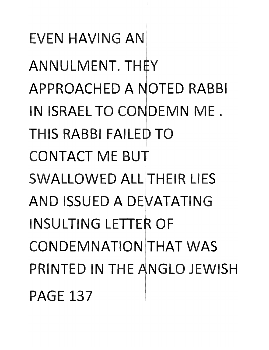EVEN HAVING AN ANNULMENT. THEY APPROACHED A NOTED RABBI IN ISRAEL TO CONDEMN ME. THIS RABBI FAILED TO CONTACT ME BU SWALLOWED ALL THEIR LIES AND ISSUED A DEVATATING INSULTING LETTER OF CONDEMNATION THAT WAS PRINTED IN THE ANGLO JEWISH PAGE 137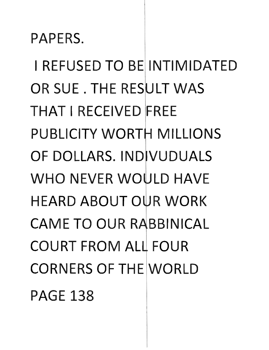PAPERS.

I REFUSED **TO** BE INTIMIDATED OR SUE. THE RESULT WAS **THAT** I RECEIVED FREE PUBLICITY WORTH MILLIONS OF DOLLARS. INDIVUDUALS **WHO NEVER WOULD HAVE** HEARD ABOUT OUR WORK **CAME TO OUR RABBINICAL** COURT FROM ALL FOUR CORNERS OF THE WORLD PAGE 138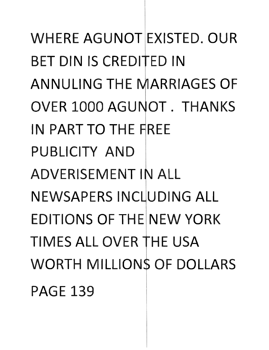WHERE **AGUNOT** EXISTED. OUR BET DIN IS CREDITED IN ANNULING THE MARRIAGES OF OVER 1000 AGUNOT. THANKS IN PART **TO** THE PUBLICITY **AND ADVERISEMENT IN ALL** NEWSAPERS INCLUDING ALL EDITIONS OF THE NEW YORK TIMES ALL OVER THE USA WORTH MILLIONS OF DOLLARS PAGE 139